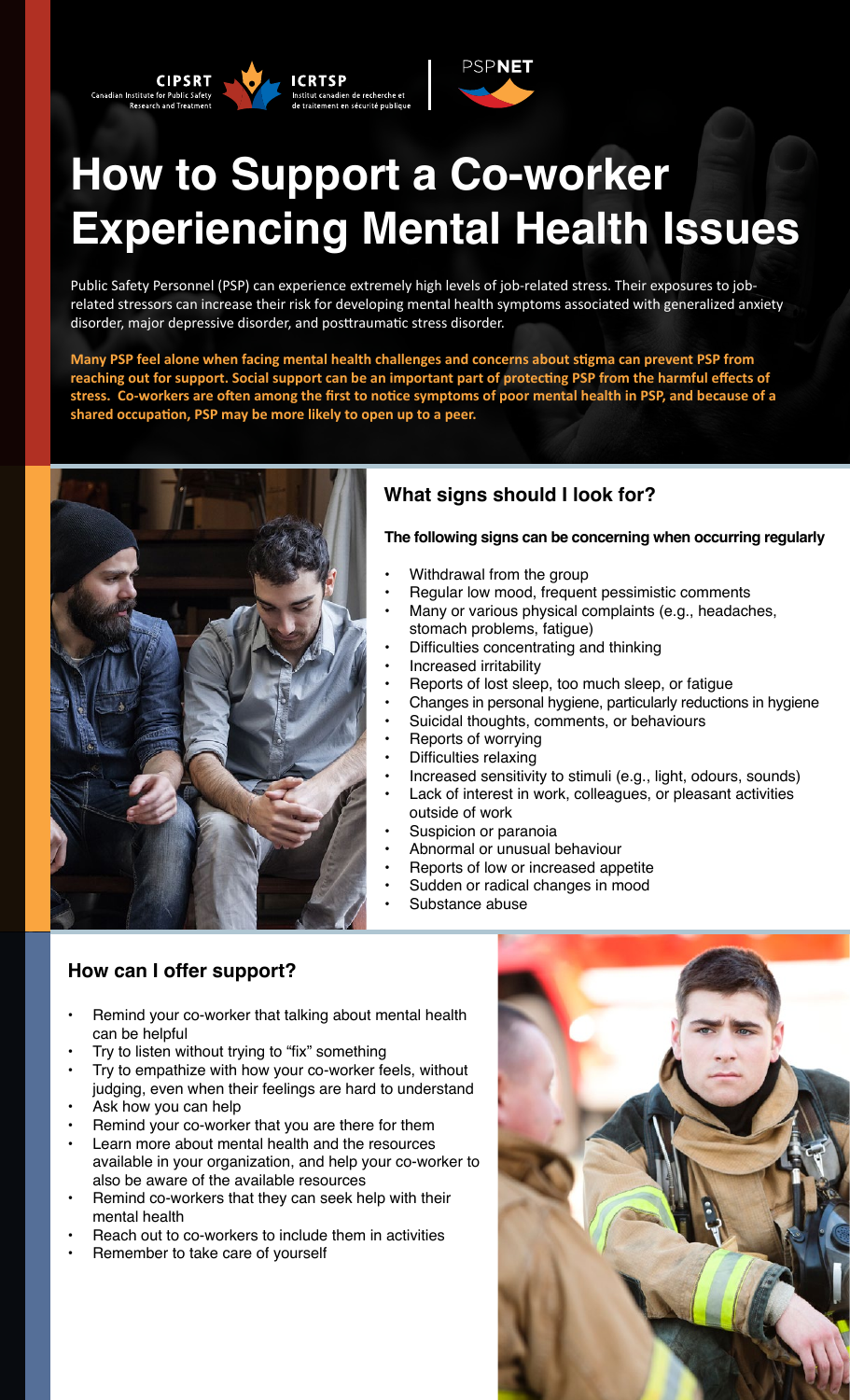



# **How to Support a Co-worker Experiencing Mental Health Issues**

Public Safety Personnel (PSP) can experience extremely high levels of job-related stress. Their exposures to jobrelated stressors can increase their risk for developing mental health symptoms associated with generalized anxiety disorder, major depressive disorder, and posttraumatic stress disorder.

**Many PSP feel alone when facing mental health challenges and concerns about stigma can prevent PSP from reaching out for support. Social support can be an important part of protecting PSP from the harmful effects of stress. Co-workers are often among the first to notice symptoms of poor mental health in PSP, and because of a shared occupation, PSP may be more likely to open up to a peer.**



## **What signs should I look for?**

#### **The following signs can be concerning when occurring regularly**

- Withdrawal from the group
- Regular low mood, frequent pessimistic comments
- Many or various physical complaints (e.g., headaches, stomach problems, fatigue)
- Difficulties concentrating and thinking
- Increased irritability
- Reports of lost sleep, too much sleep, or fatigue
- Changes in personal hygiene, particularly reductions in hygiene
- Suicidal thoughts, comments, or behaviours
- Reports of worrying
- Difficulties relaxing
- Increased sensitivity to stimuli (e.g., light, odours, sounds)
- Lack of interest in work, colleagues, or pleasant activities outside of work
- Suspicion or paranoia
- Abnormal or unusual behaviour
- Reports of low or increased appetite
- Sudden or radical changes in mood
- Substance abuse

### **How can I offer support?**

- Remind your co-worker that talking about mental health can be helpful
- Try to listen without trying to "fix" something
- Try to empathize with how your co-worker feels, without judging, even when their feelings are hard to understand
- Ask how you can help
- Remind your co-worker that you are there for them
- Learn more about mental health and the resources available in your organization, and help your co-worker to also be aware of the available resources
- Remind co-workers that they can seek help with their mental health
- Reach out to co-workers to include them in activities
- Remember to take care of yourself